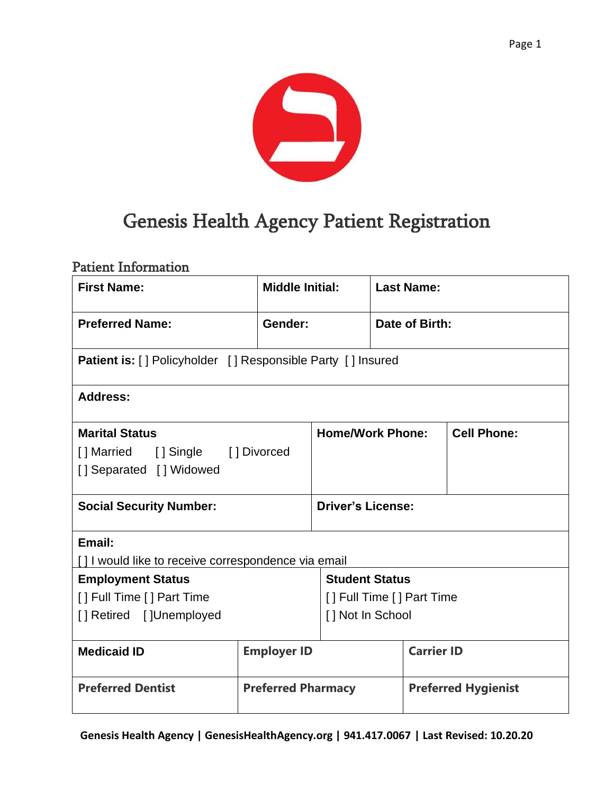

# Genesis Health Agency Patient Registration

### Patient Information

| <b>First Name:</b>                                                 |                           | <b>Middle Initial:</b>    |                | <b>Last Name:</b>          |  |
|--------------------------------------------------------------------|---------------------------|---------------------------|----------------|----------------------------|--|
| <b>Preferred Name:</b>                                             | Gender:                   |                           | Date of Birth: |                            |  |
| <b>Patient is:</b> [] Policyholder [] Responsible Party [] Insured |                           |                           |                |                            |  |
| <b>Address:</b>                                                    |                           |                           |                |                            |  |
| <b>Marital Status</b>                                              |                           | <b>Home/Work Phone:</b>   |                | <b>Cell Phone:</b>         |  |
| [] Married [] Single [] Divorced                                   |                           |                           |                |                            |  |
| [] Separated [] Widowed                                            |                           |                           |                |                            |  |
| <b>Social Security Number:</b>                                     |                           | <b>Driver's License:</b>  |                |                            |  |
| Email:                                                             |                           |                           |                |                            |  |
| [] I would like to receive correspondence via email                |                           |                           |                |                            |  |
| <b>Employment Status</b>                                           |                           | <b>Student Status</b>     |                |                            |  |
| [] Full Time [] Part Time                                          |                           | [] Full Time [] Part Time |                |                            |  |
| [] Retired []Unemployed                                            |                           | [] Not In School          |                |                            |  |
| <b>Medicaid ID</b>                                                 | <b>Employer ID</b>        |                           |                | <b>Carrier ID</b>          |  |
| <b>Preferred Dentist</b>                                           | <b>Preferred Pharmacy</b> |                           |                | <b>Preferred Hygienist</b> |  |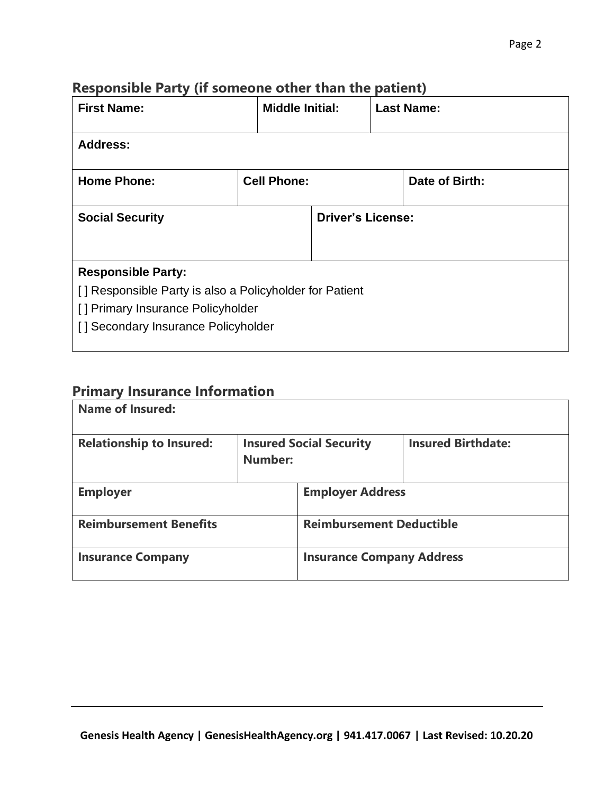## **Responsible Party (if someone other than the patient)**

| <b>First Name:</b>                                                                                                                                               | <b>Middle Initial:</b> |  |                          | <b>Last Name:</b> |
|------------------------------------------------------------------------------------------------------------------------------------------------------------------|------------------------|--|--------------------------|-------------------|
| <b>Address:</b>                                                                                                                                                  |                        |  |                          |                   |
| <b>Home Phone:</b>                                                                                                                                               | <b>Cell Phone:</b>     |  | Date of Birth:           |                   |
| <b>Social Security</b>                                                                                                                                           |                        |  | <b>Driver's License:</b> |                   |
| <b>Responsible Party:</b><br>[] Responsible Party is also a Policyholder for Patient<br>[] Primary Insurance Policyholder<br>[] Secondary Insurance Policyholder |                        |  |                          |                   |

### **Primary Insurance Information**

| <b>Name of Insured:</b>         |                                                  |                                  |                           |  |
|---------------------------------|--------------------------------------------------|----------------------------------|---------------------------|--|
| <b>Relationship to Insured:</b> | <b>Insured Social Security</b><br><b>Number:</b> |                                  | <b>Insured Birthdate:</b> |  |
| <b>Employer</b>                 |                                                  | <b>Employer Address</b>          |                           |  |
| <b>Reimbursement Benefits</b>   |                                                  | <b>Reimbursement Deductible</b>  |                           |  |
| <b>Insurance Company</b>        |                                                  | <b>Insurance Company Address</b> |                           |  |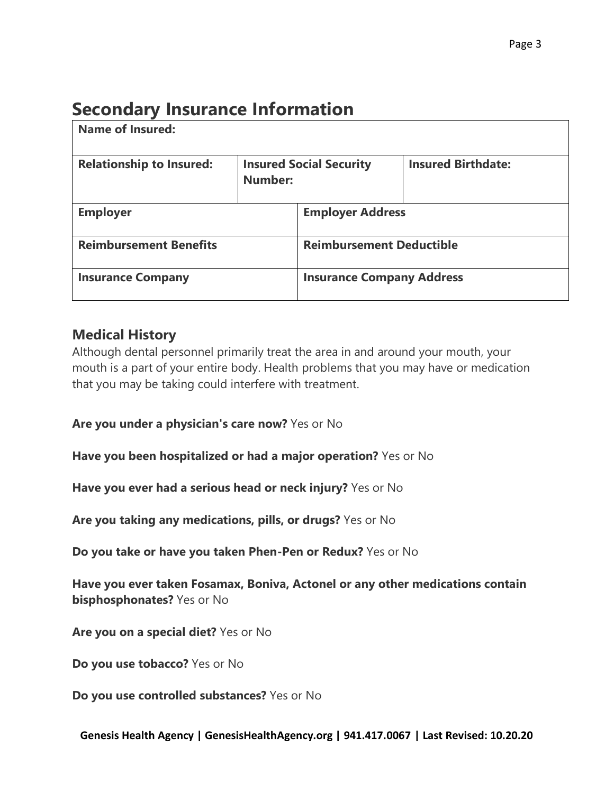## **Secondary Insurance Information**

| Name of Insured:                |                                           |                                  |                           |  |
|---------------------------------|-------------------------------------------|----------------------------------|---------------------------|--|
| <b>Relationship to Insured:</b> | <b>Insured Social Security</b><br>Number: |                                  | <b>Insured Birthdate:</b> |  |
| <b>Employer</b>                 |                                           | <b>Employer Address</b>          |                           |  |
| <b>Reimbursement Benefits</b>   |                                           | <b>Reimbursement Deductible</b>  |                           |  |
| <b>Insurance Company</b>        |                                           | <b>Insurance Company Address</b> |                           |  |

### **Medical History**

Although dental personnel primarily treat the area in and around your mouth, your mouth is a part of your entire body. Health problems that you may have or medication that you may be taking could interfere with treatment.

**Are you under a physician's care now?** Yes or No

**Have you been hospitalized or had a major operation?** Yes or No

**Have you ever had a serious head or neck injury?** Yes or No

**Are you taking any medications, pills, or drugs?** Yes or No

**Do you take or have you taken Phen-Pen or Redux?** Yes or No

**Have you ever taken Fosamax, Boniva, Actonel or any other medications contain bisphosphonates?** Yes or No

**Are you on a special diet?** Yes or No

**Do you use tobacco?** Yes or No

**Do you use controlled substances?** Yes or No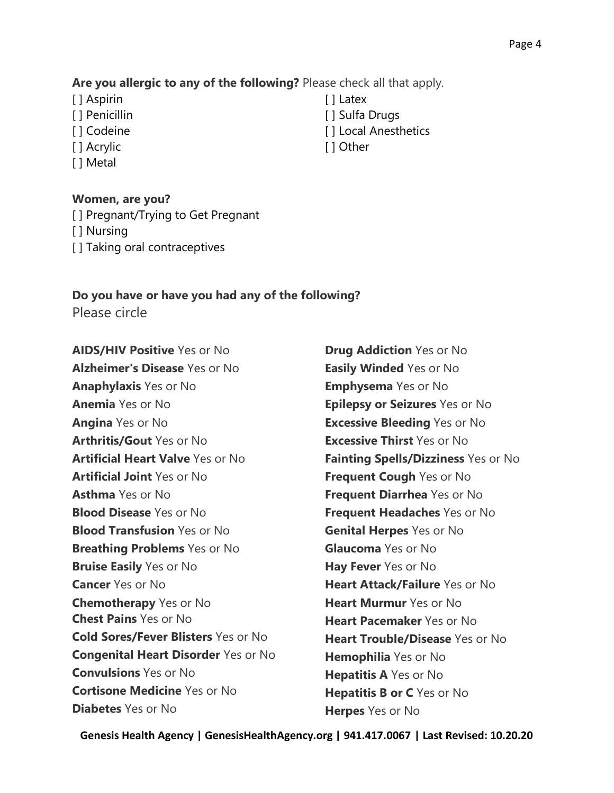#### **Are you allergic to any of the following?** Please check all that apply.

- [ ] Aspirin
- [ ] Penicillin
- [ ] Codeine
- [ ] Acrylic
- [ ] Metal

#### **Women, are you?**

- [ ] Pregnant/Trying to Get Pregnant
- [ ] Nursing
- [] Taking oral contraceptives

## **Do you have or have you had any of the following?**

Please circle

**AIDS/HIV Positive** Yes or No **Alzheimer's Disease** Yes or No **Anaphylaxis** Yes or No **Anemia** Yes or No **Angina** Yes or No **Arthritis/Gout** Yes or No **Artificial Heart Valve** Yes or No **Artificial Joint** Yes or No **Asthma** Yes or No **Blood Disease** Yes or No **Blood Transfusion** Yes or No **Breathing Problems** Yes or No **Bruise Easily** Yes or No **Cancer** Yes or No **Chemotherapy** Yes or No **Chest Pains** Yes or No **Cold Sores/Fever Blisters** Yes or No **Congenital Heart Disorder** Yes or No **Convulsions** Yes or No **Cortisone Medicine** Yes or No **Diabetes** Yes or No

**Drug Addiction** Yes or No **Easily Winded** Yes or No **Emphysema** Yes or No **Epilepsy or Seizures** Yes or No **Excessive Bleeding** Yes or No **Excessive Thirst** Yes or No **Fainting Spells/Dizziness** Yes or No **Frequent Cough** Yes or No **Frequent Diarrhea** Yes or No **Frequent Headaches** Yes or No **Genital Herpes** Yes or No **Glaucoma** Yes or No **Hay Fever** Yes or No **Heart Attack/Failure** Yes or No **Heart Murmur** Yes or No **Heart Pacemaker** Yes or No **Heart Trouble/Disease** Yes or No **Hemophilia** Yes or No **Hepatitis A** Yes or No **Hepatitis B or C** Yes or No **Herpes** Yes or No

**Genesis Health Agency | GenesisHealthAgency.org | 941.417.0067 | Last Revised: 10.20.20**

- [ ] Latex
- [ ] Sulfa Drugs
- [ ] Local Anesthetics
- [ ] Other